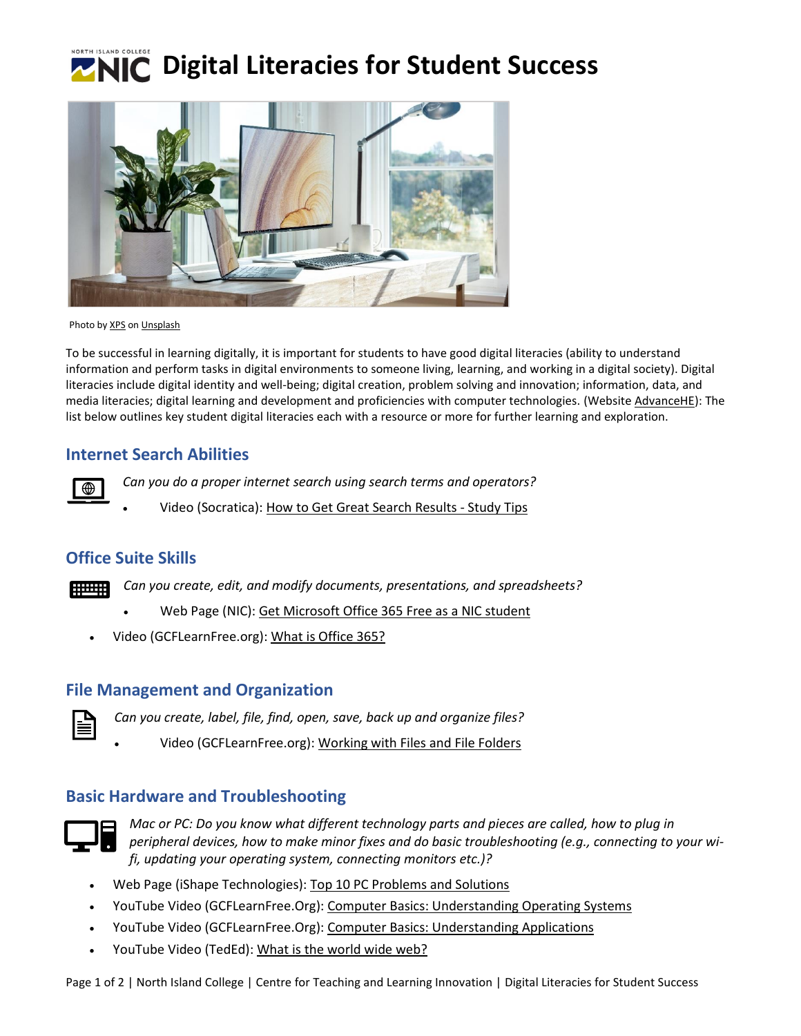



Photo b[y XPS](https://unsplash.com/@xps?utm_source=unsplash&utm_medium=referral&utm_content=creditCopyText) o[n Unsplash](https://unsplash.com/?utm_source=unsplash&utm_medium=referral&utm_content=creditCopyText)

To be successful in learning digitally, it is important for students to have good digital literacies (ability to understand information and perform tasks in digital environments to someone living, learning, and working in a digital society). Digital literacies include digital identity and well-being; digital creation, problem solving and innovation; information, data, and media literacies; digital learning and development and proficiencies with computer technologies. (Website [AdvanceHE\)](https://www.advance-he.ac.uk/knowledge-hub/digital-literacies): The list below outlines key student digital literacies each with a resource or more for further learning and exploration.

#### **Internet Search Abilities**

*Can you do a proper internet search using search terms and operators?*

• Video (Socratica)[: How to Get Great Search Results -](https://www.youtube.com/watch?v=U9TNmomU7l0&list=LLqoFON34swa3ATaYK0bE57A&index=105) Study Tips

## **Office Suite Skills**

*Can you create, edit, and modify documents, presentations, and spreadsheets?* **BULLER** 

- Web Page (NIC): [Get Microsoft Office 365 Free as a NIC student](https://library.nic.bc.ca/studenttech/office)
- Video (GCFLearnFree.org): [What is Office 365?](https://www.youtube.com/watch?v=LKLnpVmwifc)

#### **File Management and Organization**

*Can you create, label, file, find, open, save, back up and organize files?*

• Video (GCFLearnFree.org): Working [with Files and](https://www.youtube.com/watch?v=BY1y_RQxIdg) File Folders

# **Basic Hardware and Troubleshooting**



*Mac or PC: Do you know what different technology parts and pieces are called, how to plug in peripheral devices, how to make minor fixes and do basic troubleshooting (e.g., connecting to your wifi, updating your operating system, connecting monitors etc.)?*

- Web Page (iShape Technologies): [Top 10 PC Problems and Solutions](https://ishapetechnologies.com/computer-problems-solutions/)
- YouTube Video (GCFLearnFree.Org): Computer [Basics: Understanding Operating Systems](https://www.youtube.com/watch?v=fkGCLIQx1MI)
- YouTube Video (GCFLearnFree.Org): [Computer Basics: Understanding Applications](https://www.youtube.com/watch?v=3gMOYZoMtEs)
- YouTube Video (TedEd): [What is the world wide web?](https://www.youtube.com/watch?v=J8hzJxb0rpc&list=PLpQQipWcxwt99815Gbz-IGdAHHONB4rxg&index=4)

Page 1 of 2 | North Island College | Centre for Teaching and Learning Innovation | Digital Literacies for Student Success